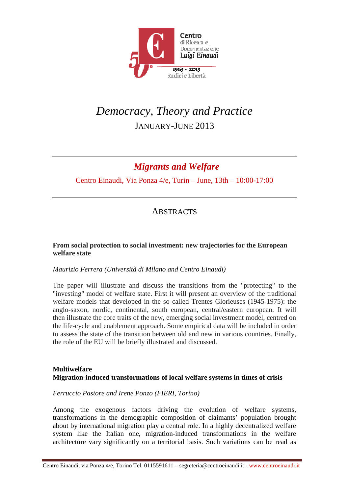

# *Democracy, Theory and Practice*  JANUARY-JUNE 2013

# *Migrants and Welfare*

Centro Einaudi, Via Ponza 4/e, Turin – June, 13th – 10:00-17:00

# **ABSTRACTS**

## **From social protection to social investment: new trajectories for the European welfare state**

# *Maurizio Ferrera (Università di Milano and Centro Einaudi)*

The paper will illustrate and discuss the transitions from the "protecting" to the "investing" model of welfare state. First it will present an overview of the traditional welfare models that developed in the so called Trentes Glorieuses (1945-1975): the anglo-saxon, nordic, continental, south european, central/eastern european. It will then illustrate the core traits of the new, emerging social investment model, centred on the life-cycle and enablement approach. Some empirical data will be included in order to assess the state of the transition between old and new in various countries. Finally, the role of the EU will be briefly illustrated and discussed.

# **Multiwelfare Migration-induced transformations of local welfare systems in times of crisis**

# *Ferruccio Pastore and Irene Ponzo (FIERI, Torino)*

Among the exogenous factors driving the evolution of welfare systems, transformations in the demographic composition of claimants' population brought about by international migration play a central role. In a highly decentralized welfare system like the Italian one, migration-induced transformations in the welfare architecture vary significantly on a territorial basis. Such variations can be read as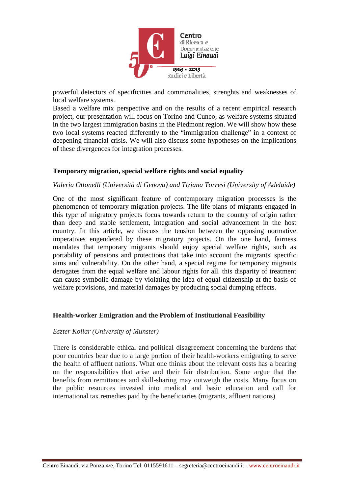

powerful detectors of specificities and commonalities, strenghts and weaknesses of local welfare systems.

Based a welfare mix perspective and on the results of a recent empirical research project, our presentation will focus on Torino and Cuneo, as welfare systems situated in the two largest immigration basins in the Piedmont region. We will show how these two local systems reacted differently to the "immigration challenge" in a context of deepening financial crisis. We will also discuss some hypotheses on the implications of these divergences for integration processes.

## **Temporary migration, special welfare rights and social equality**

#### *Valeria Ottonelli (Università di Genova) and Tiziana Torresi (University of Adelaide)*

One of the most significant feature of contemporary migration processes is the phenomenon of temporary migration projects. The life plans of migrants engaged in this type of migratory projects focus towards return to the country of origin rather than deep and stable settlement, integration and social advancement in the host country. In this article, we discuss the tension between the opposing normative imperatives engendered by these migratory projects. On the one hand, fairness mandates that temporary migrants should enjoy special welfare rights, such as portability of pensions and protections that take into account the migrants' specific aims and vulnerability. On the other hand, a special regime for temporary migrants derogates from the equal welfare and labour rights for all. this disparity of treatment can cause symbolic damage by violating the idea of equal citizenship at the basis of welfare provisions, and material damages by producing social dumping effects.

#### **Health-worker Emigration and the Problem of Institutional Feasibility**

#### *Eszter Kollar (University of Munster)*

There is considerable ethical and political disagreement concerning the burdens that poor countries bear due to a large portion of their health-workers emigrating to serve the health of affluent nations. What one thinks about the relevant costs has a bearing on the responsibilities that arise and their fair distribution. Some argue that the benefits from remittances and skill-sharing may outweigh the costs. Many focus on the public resources invested into medical and basic education and call for international tax remedies paid by the beneficiaries (migrants, affluent nations).